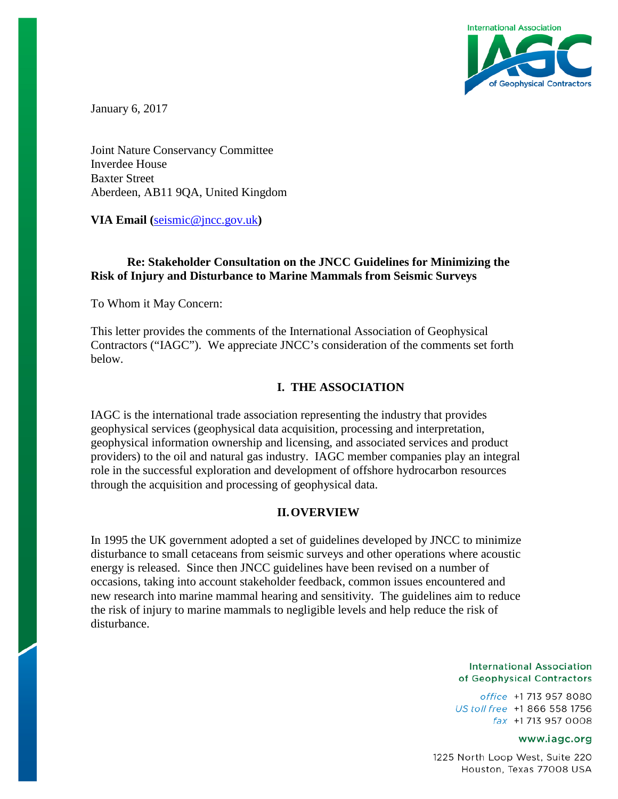

January 6, 2017

Joint Nature Conservancy Committee Inverdee House Baxter Street Aberdeen, AB11 9QA, United Kingdom

**VIA Email (**[seismic@jncc.gov.uk](mailto:seismic@jncc.gov.uk)**)**

# **Re: Stakeholder Consultation on the JNCC Guidelines for Minimizing the Risk of Injury and Disturbance to Marine Mammals from Seismic Surveys**

To Whom it May Concern:

This letter provides the comments of the International Association of Geophysical Contractors ("IAGC"). We appreciate JNCC's consideration of the comments set forth below.

## **I. THE ASSOCIATION**

IAGC is the international trade association representing the industry that provides geophysical services (geophysical data acquisition, processing and interpretation, geophysical information ownership and licensing, and associated services and product providers) to the oil and natural gas industry. IAGC member companies play an integral role in the successful exploration and development of offshore hydrocarbon resources through the acquisition and processing of geophysical data.

### **II.OVERVIEW**

In 1995 the UK government adopted a set of guidelines developed by JNCC to minimize disturbance to small cetaceans from seismic surveys and other operations where acoustic energy is released. Since then JNCC guidelines have been revised on a number of occasions, taking into account stakeholder feedback, common issues encountered and new research into marine mammal hearing and sensitivity. The guidelines aim to reduce the risk of injury to marine mammals to negligible levels and help reduce the risk of disturbance.

#### **International Association** of Geophysical Contractors

office +1 713 957 8080 US toll free +1 866 558 1756 fax +1713 957 0008

#### www.iagc.org

1225 North Loop West, Suite 220 Houston, Texas 77008 USA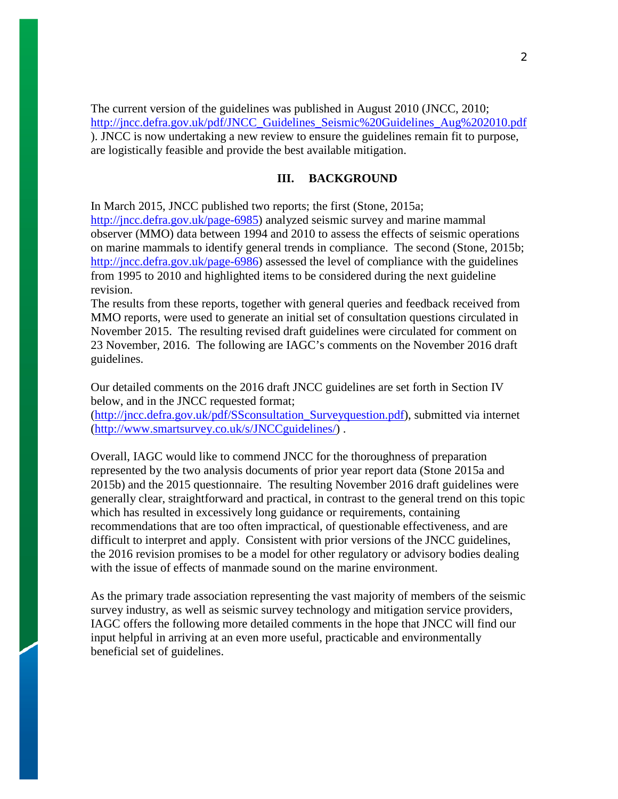The current version of the guidelines was published in August 2010 (JNCC, 2010; [http://jncc.defra.gov.uk/pdf/JNCC\\_Guidelines\\_Seismic%20Guidelines\\_Aug%202010.pdf](http://jncc.defra.gov.uk/pdf/JNCC_Guidelines_Seismic%20Guidelines_Aug%202010.pdf) ). JNCC is now undertaking a new review to ensure the guidelines remain fit to purpose, are logistically feasible and provide the best available mitigation.

### **III. BACKGROUND**

In March 2015, JNCC published two reports; the first (Stone, 2015a;

[http://jncc.defra.gov.uk/page-6985\)](http://jncc.defra.gov.uk/page-6985) analyzed seismic survey and marine mammal observer (MMO) data between 1994 and 2010 to assess the effects of seismic operations on marine mammals to identify general trends in compliance. The second (Stone, 2015b; [http://jncc.defra.gov.uk/page-6986\)](http://jncc.defra.gov.uk/page-6986) assessed the level of compliance with the guidelines from 1995 to 2010 and highlighted items to be considered during the next guideline revision.

The results from these reports, together with general queries and feedback received from MMO reports, were used to generate an initial set of consultation questions circulated in November 2015. The resulting revised draft guidelines were circulated for comment on 23 November, 2016. The following are IAGC's comments on the November 2016 draft guidelines.

Our detailed comments on the 2016 draft JNCC guidelines are set forth in Section IV below, and in the JNCC requested format;

[\(http://jncc.defra.gov.uk/pdf/SSconsultation\\_Surveyquestion.pdf\)](http://jncc.defra.gov.uk/pdf/SSconsultation_Surveyquestion.pdf), submitted via internet [\(http://www.smartsurvey.co.uk/s/JNCCguidelines/\)](http://www.smartsurvey.co.uk/s/JNCCguidelines/) .

Overall, IAGC would like to commend JNCC for the thoroughness of preparation represented by the two analysis documents of prior year report data (Stone 2015a and 2015b) and the 2015 questionnaire. The resulting November 2016 draft guidelines were generally clear, straightforward and practical, in contrast to the general trend on this topic which has resulted in excessively long guidance or requirements, containing recommendations that are too often impractical, of questionable effectiveness, and are difficult to interpret and apply. Consistent with prior versions of the JNCC guidelines, the 2016 revision promises to be a model for other regulatory or advisory bodies dealing with the issue of effects of manmade sound on the marine environment.

As the primary trade association representing the vast majority of members of the seismic survey industry, as well as seismic survey technology and mitigation service providers, IAGC offers the following more detailed comments in the hope that JNCC will find our input helpful in arriving at an even more useful, practicable and environmentally beneficial set of guidelines.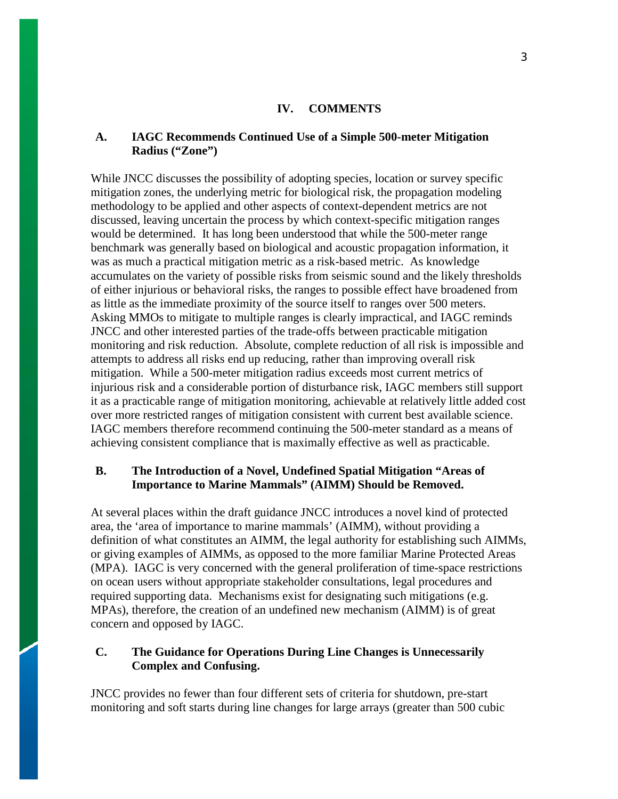#### **IV. COMMENTS**

### **A. IAGC Recommends Continued Use of a Simple 500-meter Mitigation Radius ("Zone")**

While JNCC discusses the possibility of adopting species, location or survey specific mitigation zones, the underlying metric for biological risk, the propagation modeling methodology to be applied and other aspects of context-dependent metrics are not discussed, leaving uncertain the process by which context-specific mitigation ranges would be determined. It has long been understood that while the 500-meter range benchmark was generally based on biological and acoustic propagation information, it was as much a practical mitigation metric as a risk-based metric. As knowledge accumulates on the variety of possible risks from seismic sound and the likely thresholds of either injurious or behavioral risks, the ranges to possible effect have broadened from as little as the immediate proximity of the source itself to ranges over 500 meters. Asking MMOs to mitigate to multiple ranges is clearly impractical, and IAGC reminds JNCC and other interested parties of the trade-offs between practicable mitigation monitoring and risk reduction. Absolute, complete reduction of all risk is impossible and attempts to address all risks end up reducing, rather than improving overall risk mitigation. While a 500-meter mitigation radius exceeds most current metrics of injurious risk and a considerable portion of disturbance risk, IAGC members still support it as a practicable range of mitigation monitoring, achievable at relatively little added cost over more restricted ranges of mitigation consistent with current best available science. IAGC members therefore recommend continuing the 500-meter standard as a means of achieving consistent compliance that is maximally effective as well as practicable.

## **B. The Introduction of a Novel, Undefined Spatial Mitigation "Areas of Importance to Marine Mammals" (AIMM) Should be Removed.**

At several places within the draft guidance JNCC introduces a novel kind of protected area, the 'area of importance to marine mammals' (AIMM), without providing a definition of what constitutes an AIMM, the legal authority for establishing such AIMMs, or giving examples of AIMMs, as opposed to the more familiar Marine Protected Areas (MPA). IAGC is very concerned with the general proliferation of time-space restrictions on ocean users without appropriate stakeholder consultations, legal procedures and required supporting data. Mechanisms exist for designating such mitigations (e.g. MPAs), therefore, the creation of an undefined new mechanism (AIMM) is of great concern and opposed by IAGC.

## **C. The Guidance for Operations During Line Changes is Unnecessarily Complex and Confusing.**

JNCC provides no fewer than four different sets of criteria for shutdown, pre-start monitoring and soft starts during line changes for large arrays (greater than 500 cubic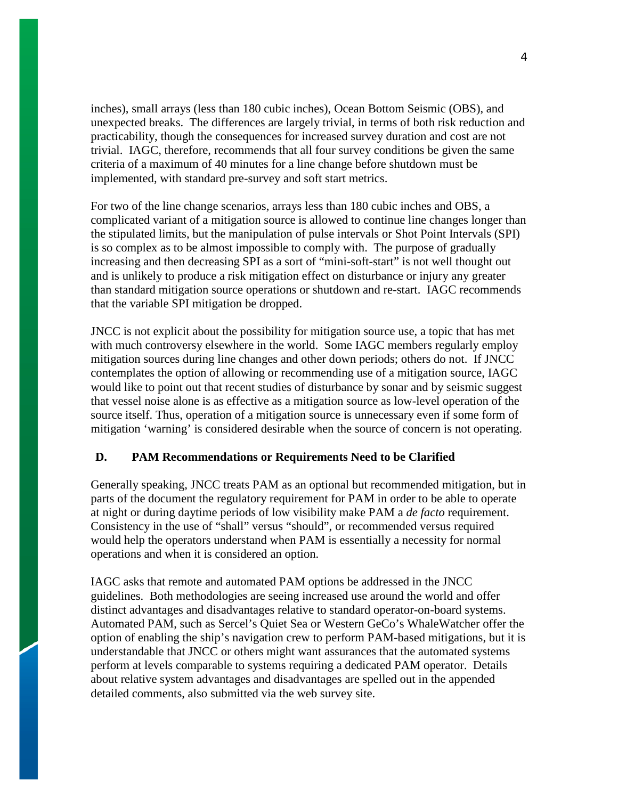inches), small arrays (less than 180 cubic inches), Ocean Bottom Seismic (OBS), and unexpected breaks. The differences are largely trivial, in terms of both risk reduction and practicability, though the consequences for increased survey duration and cost are not trivial. IAGC, therefore, recommends that all four survey conditions be given the same criteria of a maximum of 40 minutes for a line change before shutdown must be implemented, with standard pre-survey and soft start metrics.

For two of the line change scenarios, arrays less than 180 cubic inches and OBS, a complicated variant of a mitigation source is allowed to continue line changes longer than the stipulated limits, but the manipulation of pulse intervals or Shot Point Intervals (SPI) is so complex as to be almost impossible to comply with. The purpose of gradually increasing and then decreasing SPI as a sort of "mini-soft-start" is not well thought out and is unlikely to produce a risk mitigation effect on disturbance or injury any greater than standard mitigation source operations or shutdown and re-start. IAGC recommends that the variable SPI mitigation be dropped.

JNCC is not explicit about the possibility for mitigation source use, a topic that has met with much controversy elsewhere in the world. Some IAGC members regularly employ mitigation sources during line changes and other down periods; others do not. If JNCC contemplates the option of allowing or recommending use of a mitigation source, IAGC would like to point out that recent studies of disturbance by sonar and by seismic suggest that vessel noise alone is as effective as a mitigation source as low-level operation of the source itself. Thus, operation of a mitigation source is unnecessary even if some form of mitigation 'warning' is considered desirable when the source of concern is not operating.

# **D. PAM Recommendations or Requirements Need to be Clarified**

Generally speaking, JNCC treats PAM as an optional but recommended mitigation, but in parts of the document the regulatory requirement for PAM in order to be able to operate at night or during daytime periods of low visibility make PAM a *de facto* requirement. Consistency in the use of "shall" versus "should", or recommended versus required would help the operators understand when PAM is essentially a necessity for normal operations and when it is considered an option.

IAGC asks that remote and automated PAM options be addressed in the JNCC guidelines. Both methodologies are seeing increased use around the world and offer distinct advantages and disadvantages relative to standard operator-on-board systems. Automated PAM, such as Sercel's Quiet Sea or Western GeCo's WhaleWatcher offer the option of enabling the ship's navigation crew to perform PAM-based mitigations, but it is understandable that JNCC or others might want assurances that the automated systems perform at levels comparable to systems requiring a dedicated PAM operator. Details about relative system advantages and disadvantages are spelled out in the appended detailed comments, also submitted via the web survey site.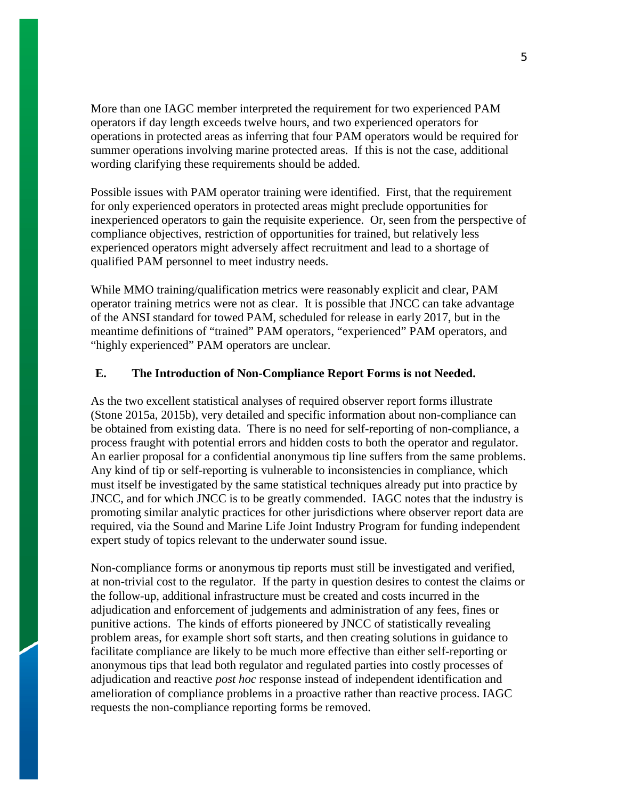More than one IAGC member interpreted the requirement for two experienced PAM operators if day length exceeds twelve hours, and two experienced operators for operations in protected areas as inferring that four PAM operators would be required for summer operations involving marine protected areas. If this is not the case, additional wording clarifying these requirements should be added.

Possible issues with PAM operator training were identified. First, that the requirement for only experienced operators in protected areas might preclude opportunities for inexperienced operators to gain the requisite experience. Or, seen from the perspective of compliance objectives, restriction of opportunities for trained, but relatively less experienced operators might adversely affect recruitment and lead to a shortage of qualified PAM personnel to meet industry needs.

While MMO training/qualification metrics were reasonably explicit and clear, PAM operator training metrics were not as clear. It is possible that JNCC can take advantage of the ANSI standard for towed PAM, scheduled for release in early 2017, but in the meantime definitions of "trained" PAM operators, "experienced" PAM operators, and "highly experienced" PAM operators are unclear.

# **E. The Introduction of Non-Compliance Report Forms is not Needed.**

As the two excellent statistical analyses of required observer report forms illustrate (Stone 2015a, 2015b), very detailed and specific information about non-compliance can be obtained from existing data. There is no need for self-reporting of non-compliance, a process fraught with potential errors and hidden costs to both the operator and regulator. An earlier proposal for a confidential anonymous tip line suffers from the same problems. Any kind of tip or self-reporting is vulnerable to inconsistencies in compliance, which must itself be investigated by the same statistical techniques already put into practice by JNCC, and for which JNCC is to be greatly commended. IAGC notes that the industry is promoting similar analytic practices for other jurisdictions where observer report data are required, via the Sound and Marine Life Joint Industry Program for funding independent expert study of topics relevant to the underwater sound issue.

Non-compliance forms or anonymous tip reports must still be investigated and verified, at non-trivial cost to the regulator. If the party in question desires to contest the claims or the follow-up, additional infrastructure must be created and costs incurred in the adjudication and enforcement of judgements and administration of any fees, fines or punitive actions. The kinds of efforts pioneered by JNCC of statistically revealing problem areas, for example short soft starts, and then creating solutions in guidance to facilitate compliance are likely to be much more effective than either self-reporting or anonymous tips that lead both regulator and regulated parties into costly processes of adjudication and reactive *post hoc* response instead of independent identification and amelioration of compliance problems in a proactive rather than reactive process. IAGC requests the non-compliance reporting forms be removed.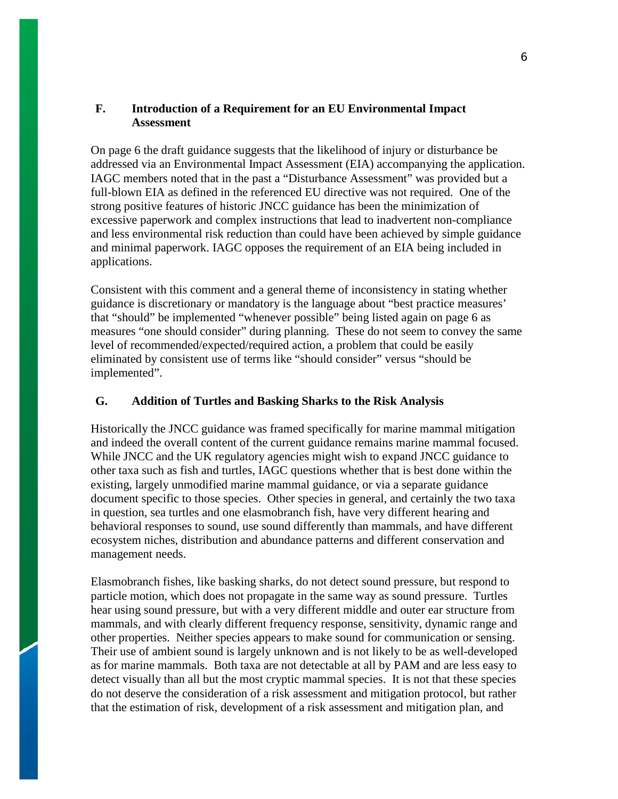# **F. Introduction of a Requirement for an EU Environmental Impact Assessment**

On page 6 the draft guidance suggests that the likelihood of injury or disturbance be addressed via an Environmental Impact Assessment (EIA) accompanying the application. IAGC members noted that in the past a "Disturbance Assessment" was provided but a full-blown EIA as defined in the referenced EU directive was not required. One of the strong positive features of historic JNCC guidance has been the minimization of excessive paperwork and complex instructions that lead to inadvertent non-compliance and less environmental risk reduction than could have been achieved by simple guidance and minimal paperwork. IAGC opposes the requirement of an EIA being included in applications.

Consistent with this comment and a general theme of inconsistency in stating whether guidance is discretionary or mandatory is the language about "best practice measures' that "should" be implemented "whenever possible" being listed again on page 6 as measures "one should consider" during planning. These do not seem to convey the same level of recommended/expected/required action, a problem that could be easily eliminated by consistent use of terms like "should consider" versus "should be implemented".

# **G. Addition of Turtles and Basking Sharks to the Risk Analysis**

Historically the JNCC guidance was framed specifically for marine mammal mitigation and indeed the overall content of the current guidance remains marine mammal focused. While JNCC and the UK regulatory agencies might wish to expand JNCC guidance to other taxa such as fish and turtles, IAGC questions whether that is best done within the existing, largely unmodified marine mammal guidance, or via a separate guidance document specific to those species. Other species in general, and certainly the two taxa in question, sea turtles and one elasmobranch fish, have very different hearing and behavioral responses to sound, use sound differently than mammals, and have different ecosystem niches, distribution and abundance patterns and different conservation and management needs.

Elasmobranch fishes, like basking sharks, do not detect sound pressure, but respond to particle motion, which does not propagate in the same way as sound pressure. Turtles hear using sound pressure, but with a very different middle and outer ear structure from mammals, and with clearly different frequency response, sensitivity, dynamic range and other properties. Neither species appears to make sound for communication or sensing. Their use of ambient sound is largely unknown and is not likely to be as well-developed as for marine mammals. Both taxa are not detectable at all by PAM and are less easy to detect visually than all but the most cryptic mammal species. It is not that these species do not deserve the consideration of a risk assessment and mitigation protocol, but rather that the estimation of risk, development of a risk assessment and mitigation plan, and